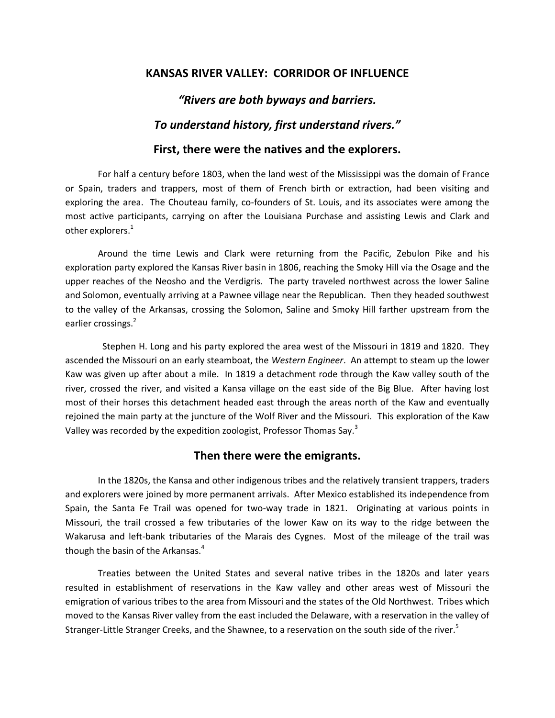### **KANSAS RIVER VALLEY: CORRIDOR OF INFLUENCE**

#### *"Rivers are both byways and barriers.*

#### *To understand history, first understand rivers."*

#### **First, there were the natives and the explorers.**

For half a century before 1803, when the land west of the Mississippi was the domain of France or Spain, traders and trappers, most of them of French birth or extraction, had been visiting and exploring the area. The Chouteau family, co-founders of St. Louis, and its associates were among the most active participants, carrying on after the Louisiana Purchase and assisting Lewis and Clark and other explorers. $^1$ 

Around the time Lewis and Clark were returning from the Pacific, Zebulon Pike and his exploration party explored the Kansas River basin in 1806, reaching the Smoky Hill via the Osage and the upper reaches of the Neosho and the Verdigris. The party traveled northwest across the lower Saline and Solomon, eventually arriving at a Pawnee village near the Republican. Then they headed southwest to the valley of the Arkansas, crossing the Solomon, Saline and Smoky Hill farther upstream from the earlier crossings.<sup>2</sup>

 Stephen H. Long and his party explored the area west of the Missouri in 1819 and 1820. They ascended the Missouri on an early steamboat, the *Western Engineer*. An attempt to steam up the lower Kaw was given up after about a mile. In 1819 a detachment rode through the Kaw valley south of the river, crossed the river, and visited a Kansa village on the east side of the Big Blue. After having lost most of their horses this detachment headed east through the areas north of the Kaw and eventually rejoined the main party at the juncture of the Wolf River and the Missouri. This exploration of the Kaw Valley was recorded by the expedition zoologist, Professor Thomas Say.<sup>3</sup>

#### **Then there were the emigrants.**

In the 1820s, the Kansa and other indigenous tribes and the relatively transient trappers, traders and explorers were joined by more permanent arrivals. After Mexico established its independence from Spain, the Santa Fe Trail was opened for two-way trade in 1821. Originating at various points in Missouri, the trail crossed a few tributaries of the lower Kaw on its way to the ridge between the Wakarusa and left-bank tributaries of the Marais des Cygnes. Most of the mileage of the trail was though the basin of the Arkansas.<sup>4</sup>

Treaties between the United States and several native tribes in the 1820s and later years resulted in establishment of reservations in the Kaw valley and other areas west of Missouri the emigration of various tribes to the area from Missouri and the states of the Old Northwest. Tribes which moved to the Kansas River valley from the east included the Delaware, with a reservation in the valley of Stranger-Little Stranger Creeks, and the Shawnee, to a reservation on the south side of the river.<sup>5</sup>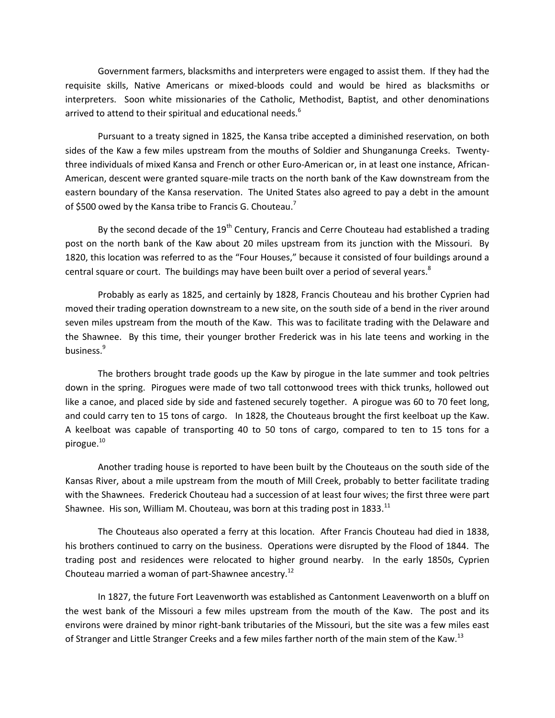Government farmers, blacksmiths and interpreters were engaged to assist them. If they had the requisite skills, Native Americans or mixed-bloods could and would be hired as blacksmiths or interpreters. Soon white missionaries of the Catholic, Methodist, Baptist, and other denominations arrived to attend to their spiritual and educational needs.<sup>6</sup>

Pursuant to a treaty signed in 1825, the Kansa tribe accepted a diminished reservation, on both sides of the Kaw a few miles upstream from the mouths of Soldier and Shunganunga Creeks. Twentythree individuals of mixed Kansa and French or other Euro-American or, in at least one instance, African-American, descent were granted square-mile tracts on the north bank of the Kaw downstream from the eastern boundary of the Kansa reservation. The United States also agreed to pay a debt in the amount of \$500 owed by the Kansa tribe to Francis G. Chouteau.<sup>7</sup>

By the second decade of the  $19<sup>th</sup>$  Century, Francis and Cerre Chouteau had established a trading post on the north bank of the Kaw about 20 miles upstream from its junction with the Missouri. By 1820, this location was referred to as the "Four Houses," because it consisted of four buildings around a central square or court. The buildings may have been built over a period of several years. $8$ 

Probably as early as 1825, and certainly by 1828, Francis Chouteau and his brother Cyprien had moved their trading operation downstream to a new site, on the south side of a bend in the river around seven miles upstream from the mouth of the Kaw. This was to facilitate trading with the Delaware and the Shawnee. By this time, their younger brother Frederick was in his late teens and working in the business.<sup>9</sup>

The brothers brought trade goods up the Kaw by pirogue in the late summer and took peltries down in the spring. Pirogues were made of two tall cottonwood trees with thick trunks, hollowed out like a canoe, and placed side by side and fastened securely together. A pirogue was 60 to 70 feet long, and could carry ten to 15 tons of cargo. In 1828, the Chouteaus brought the first keelboat up the Kaw. A keelboat was capable of transporting 40 to 50 tons of cargo, compared to ten to 15 tons for a pirogue.<sup>10</sup>

Another trading house is reported to have been built by the Chouteaus on the south side of the Kansas River, about a mile upstream from the mouth of Mill Creek, probably to better facilitate trading with the Shawnees. Frederick Chouteau had a succession of at least four wives; the first three were part Shawnee. His son, William M. Chouteau, was born at this trading post in 1833.<sup>11</sup>

The Chouteaus also operated a ferry at this location. After Francis Chouteau had died in 1838, his brothers continued to carry on the business. Operations were disrupted by the Flood of 1844. The trading post and residences were relocated to higher ground nearby. In the early 1850s, Cyprien Chouteau married a woman of part-Shawnee ancestry.<sup>12</sup>

In 1827, the future Fort Leavenworth was established as Cantonment Leavenworth on a bluff on the west bank of the Missouri a few miles upstream from the mouth of the Kaw. The post and its environs were drained by minor right-bank tributaries of the Missouri, but the site was a few miles east of Stranger and Little Stranger Creeks and a few miles farther north of the main stem of the Kaw.<sup>13</sup>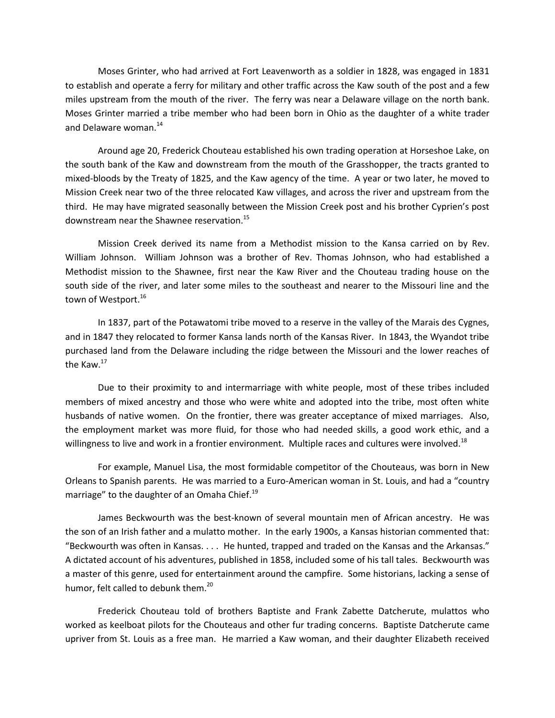Moses Grinter, who had arrived at Fort Leavenworth as a soldier in 1828, was engaged in 1831 to establish and operate a ferry for military and other traffic across the Kaw south of the post and a few miles upstream from the mouth of the river. The ferry was near a Delaware village on the north bank. Moses Grinter married a tribe member who had been born in Ohio as the daughter of a white trader and Delaware woman.<sup>14</sup>

Around age 20, Frederick Chouteau established his own trading operation at Horseshoe Lake, on the south bank of the Kaw and downstream from the mouth of the Grasshopper, the tracts granted to mixed-bloods by the Treaty of 1825, and the Kaw agency of the time. A year or two later, he moved to Mission Creek near two of the three relocated Kaw villages, and across the river and upstream from the third. He may have migrated seasonally between the Mission Creek post and his brother Cyprien's post downstream near the Shawnee reservation.<sup>15</sup>

Mission Creek derived its name from a Methodist mission to the Kansa carried on by Rev. William Johnson. William Johnson was a brother of Rev. Thomas Johnson, who had established a Methodist mission to the Shawnee, first near the Kaw River and the Chouteau trading house on the south side of the river, and later some miles to the southeast and nearer to the Missouri line and the town of Westport. 16

In 1837, part of the Potawatomi tribe moved to a reserve in the valley of the Marais des Cygnes, and in 1847 they relocated to former Kansa lands north of the Kansas River. In 1843, the Wyandot tribe purchased land from the Delaware including the ridge between the Missouri and the lower reaches of the Kaw.<sup>17</sup>

Due to their proximity to and intermarriage with white people, most of these tribes included members of mixed ancestry and those who were white and adopted into the tribe, most often white husbands of native women. On the frontier, there was greater acceptance of mixed marriages. Also, the employment market was more fluid, for those who had needed skills, a good work ethic, and a willingness to live and work in a frontier environment. Multiple races and cultures were involved.<sup>18</sup>

For example, Manuel Lisa, the most formidable competitor of the Chouteaus, was born in New Orleans to Spanish parents. He was married to a Euro-American woman in St. Louis, and had a "country marriage" to the daughter of an Omaha Chief.<sup>19</sup>

James Beckwourth was the best-known of several mountain men of African ancestry. He was the son of an Irish father and a mulatto mother. In the early 1900s, a Kansas historian commented that: "Beckwourth was often in Kansas. . . . He hunted, trapped and traded on the Kansas and the Arkansas." A dictated account of his adventures, published in 1858, included some of his tall tales. Beckwourth was a master of this genre, used for entertainment around the campfire. Some historians, lacking a sense of humor, felt called to debunk them.<sup>20</sup>

Frederick Chouteau told of brothers Baptiste and Frank Zabette Datcherute, mulattos who worked as keelboat pilots for the Chouteaus and other fur trading concerns. Baptiste Datcherute came upriver from St. Louis as a free man. He married a Kaw woman, and their daughter Elizabeth received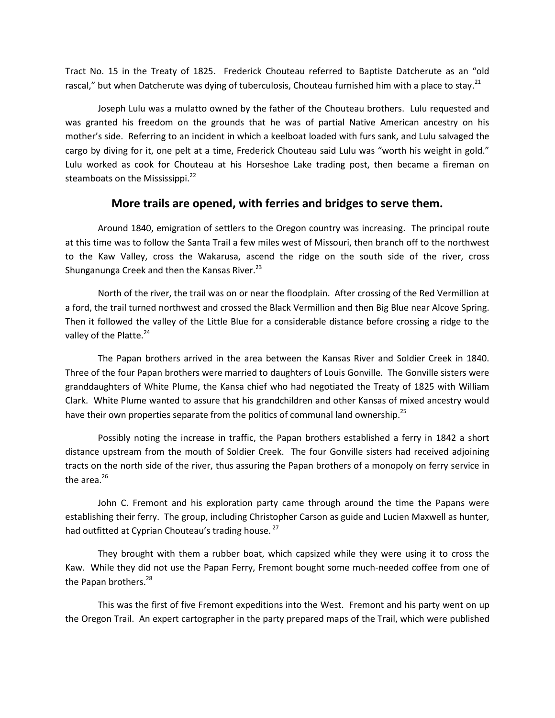Tract No. 15 in the Treaty of 1825. Frederick Chouteau referred to Baptiste Datcherute as an "old rascal," but when Datcherute was dying of tuberculosis, Chouteau furnished him with a place to stay.<sup>21</sup>

Joseph Lulu was a mulatto owned by the father of the Chouteau brothers. Lulu requested and was granted his freedom on the grounds that he was of partial Native American ancestry on his mother's side. Referring to an incident in which a keelboat loaded with furs sank, and Lulu salvaged the cargo by diving for it, one pelt at a time, Frederick Chouteau said Lulu was "worth his weight in gold." Lulu worked as cook for Chouteau at his Horseshoe Lake trading post, then became a fireman on steamboats on the Mississippi. $^{22}$ 

#### **More trails are opened, with ferries and bridges to serve them.**

Around 1840, emigration of settlers to the Oregon country was increasing. The principal route at this time was to follow the Santa Trail a few miles west of Missouri, then branch off to the northwest to the Kaw Valley, cross the Wakarusa, ascend the ridge on the south side of the river, cross Shunganunga Creek and then the Kansas River.<sup>23</sup>

North of the river, the trail was on or near the floodplain. After crossing of the Red Vermillion at a ford, the trail turned northwest and crossed the Black Vermillion and then Big Blue near Alcove Spring. Then it followed the valley of the Little Blue for a considerable distance before crossing a ridge to the valley of the Platte.<sup>24</sup>

The Papan brothers arrived in the area between the Kansas River and Soldier Creek in 1840. Three of the four Papan brothers were married to daughters of Louis Gonville. The Gonville sisters were granddaughters of White Plume, the Kansa chief who had negotiated the Treaty of 1825 with William Clark. White Plume wanted to assure that his grandchildren and other Kansas of mixed ancestry would have their own properties separate from the politics of communal land ownership.<sup>25</sup>

Possibly noting the increase in traffic, the Papan brothers established a ferry in 1842 a short distance upstream from the mouth of Soldier Creek. The four Gonville sisters had received adjoining tracts on the north side of the river, thus assuring the Papan brothers of a monopoly on ferry service in the area. $^{26}$ 

John C. Fremont and his exploration party came through around the time the Papans were establishing their ferry. The group, including Christopher Carson as guide and Lucien Maxwell as hunter, had outfitted at Cyprian Chouteau's trading house.<sup>27</sup>

They brought with them a rubber boat, which capsized while they were using it to cross the Kaw. While they did not use the Papan Ferry, Fremont bought some much-needed coffee from one of the Papan brothers.<sup>28</sup>

This was the first of five Fremont expeditions into the West. Fremont and his party went on up the Oregon Trail. An expert cartographer in the party prepared maps of the Trail, which were published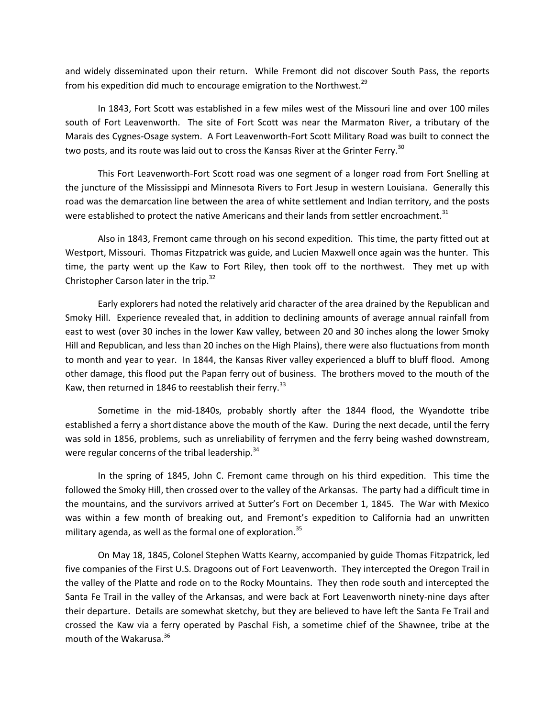and widely disseminated upon their return. While Fremont did not discover South Pass, the reports from his expedition did much to encourage emigration to the Northwest.<sup>29</sup>

In 1843, Fort Scott was established in a few miles west of the Missouri line and over 100 miles south of Fort Leavenworth. The site of Fort Scott was near the Marmaton River, a tributary of the Marais des Cygnes-Osage system. A Fort Leavenworth-Fort Scott Military Road was built to connect the two posts, and its route was laid out to cross the Kansas River at the Grinter Ferry.<sup>30</sup>

This Fort Leavenworth-Fort Scott road was one segment of a longer road from Fort Snelling at the juncture of the Mississippi and Minnesota Rivers to Fort Jesup in western Louisiana. Generally this road was the demarcation line between the area of white settlement and Indian territory, and the posts were established to protect the native Americans and their lands from settler encroachment.<sup>31</sup>

Also in 1843, Fremont came through on his second expedition. This time, the party fitted out at Westport, Missouri. Thomas Fitzpatrick was guide, and Lucien Maxwell once again was the hunter. This time, the party went up the Kaw to Fort Riley, then took off to the northwest. They met up with Christopher Carson later in the trip. $32$ 

Early explorers had noted the relatively arid character of the area drained by the Republican and Smoky Hill. Experience revealed that, in addition to declining amounts of average annual rainfall from east to west (over 30 inches in the lower Kaw valley, between 20 and 30 inches along the lower Smoky Hill and Republican, and less than 20 inches on the High Plains), there were also fluctuations from month to month and year to year. In 1844, the Kansas River valley experienced a bluff to bluff flood. Among other damage, this flood put the Papan ferry out of business. The brothers moved to the mouth of the Kaw, then returned in 1846 to reestablish their ferry.<sup>33</sup>

Sometime in the mid-1840s, probably shortly after the 1844 flood, the Wyandotte tribe established a ferry a short distance above the mouth of the Kaw. During the next decade, until the ferry was sold in 1856, problems, such as unreliability of ferrymen and the ferry being washed downstream, were regular concerns of the tribal leadership. $34$ 

In the spring of 1845, John C. Fremont came through on his third expedition. This time the followed the Smoky Hill, then crossed over to the valley of the Arkansas. The party had a difficult time in the mountains, and the survivors arrived at Sutter's Fort on December 1, 1845. The War with Mexico was within a few month of breaking out, and Fremont's expedition to California had an unwritten military agenda, as well as the formal one of exploration.<sup>35</sup>

On May 18, 1845, Colonel Stephen Watts Kearny, accompanied by guide Thomas Fitzpatrick, led five companies of the First U.S. Dragoons out of Fort Leavenworth. They intercepted the Oregon Trail in the valley of the Platte and rode on to the Rocky Mountains. They then rode south and intercepted the Santa Fe Trail in the valley of the Arkansas, and were back at Fort Leavenworth ninety-nine days after their departure. Details are somewhat sketchy, but they are believed to have left the Santa Fe Trail and crossed the Kaw via a ferry operated by Paschal Fish, a sometime chief of the Shawnee, tribe at the mouth of the Wakarusa.<sup>36</sup>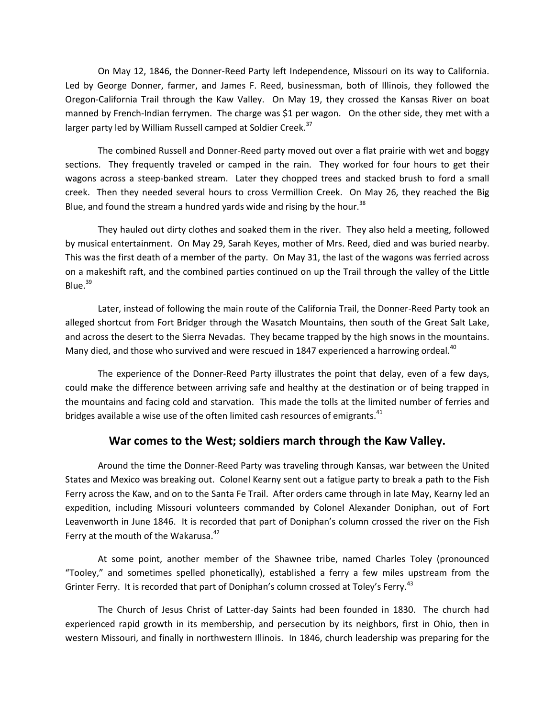On May 12, 1846, the Donner-Reed Party left Independence, Missouri on its way to California. Led by George Donner, farmer, and James F. Reed, businessman, both of Illinois, they followed the Oregon-California Trail through the Kaw Valley. On May 19, they crossed the Kansas River on boat manned by French-Indian ferrymen. The charge was \$1 per wagon. On the other side, they met with a larger party led by William Russell camped at Soldier Creek.<sup>37</sup>

The combined Russell and Donner-Reed party moved out over a flat prairie with wet and boggy sections. They frequently traveled or camped in the rain. They worked for four hours to get their wagons across a steep-banked stream. Later they chopped trees and stacked brush to ford a small creek. Then they needed several hours to cross Vermillion Creek. On May 26, they reached the Big Blue, and found the stream a hundred yards wide and rising by the hour.<sup>38</sup>

They hauled out dirty clothes and soaked them in the river. They also held a meeting, followed by musical entertainment. On May 29, Sarah Keyes, mother of Mrs. Reed, died and was buried nearby. This was the first death of a member of the party. On May 31, the last of the wagons was ferried across on a makeshift raft, and the combined parties continued on up the Trail through the valley of the Little Blue.<sup>39</sup>

Later, instead of following the main route of the California Trail, the Donner-Reed Party took an alleged shortcut from Fort Bridger through the Wasatch Mountains, then south of the Great Salt Lake, and across the desert to the Sierra Nevadas. They became trapped by the high snows in the mountains. Many died, and those who survived and were rescued in 1847 experienced a harrowing ordeal.<sup>40</sup>

The experience of the Donner-Reed Party illustrates the point that delay, even of a few days, could make the difference between arriving safe and healthy at the destination or of being trapped in the mountains and facing cold and starvation. This made the tolls at the limited number of ferries and bridges available a wise use of the often limited cash resources of emigrants.<sup>41</sup>

# **War comes to the West; soldiers march through the Kaw Valley.**

Around the time the Donner-Reed Party was traveling through Kansas, war between the United States and Mexico was breaking out. Colonel Kearny sent out a fatigue party to break a path to the Fish Ferry across the Kaw, and on to the Santa Fe Trail. After orders came through in late May, Kearny led an expedition, including Missouri volunteers commanded by Colonel Alexander Doniphan, out of Fort Leavenworth in June 1846. It is recorded that part of Doniphan's column crossed the river on the Fish Ferry at the mouth of the Wakarusa.<sup>42</sup>

At some point, another member of the Shawnee tribe, named Charles Toley (pronounced "Tooley," and sometimes spelled phonetically), established a ferry a few miles upstream from the Grinter Ferry. It is recorded that part of Doniphan's column crossed at Toley's Ferry.<sup>43</sup>

The Church of Jesus Christ of Latter-day Saints had been founded in 1830. The church had experienced rapid growth in its membership, and persecution by its neighbors, first in Ohio, then in western Missouri, and finally in northwestern Illinois. In 1846, church leadership was preparing for the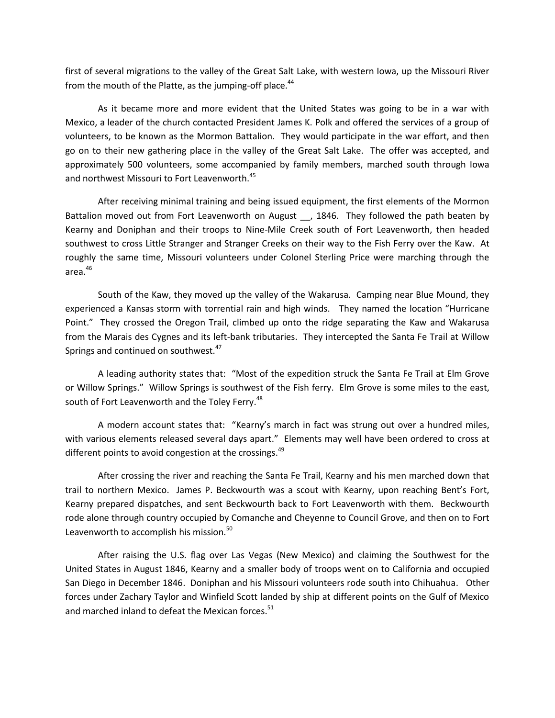first of several migrations to the valley of the Great Salt Lake, with western Iowa, up the Missouri River from the mouth of the Platte, as the jumping-off place.<sup>44</sup>

As it became more and more evident that the United States was going to be in a war with Mexico, a leader of the church contacted President James K. Polk and offered the services of a group of volunteers, to be known as the Mormon Battalion. They would participate in the war effort, and then go on to their new gathering place in the valley of the Great Salt Lake. The offer was accepted, and approximately 500 volunteers, some accompanied by family members, marched south through Iowa and northwest Missouri to Fort Leavenworth.<sup>45</sup>

After receiving minimal training and being issued equipment, the first elements of the Mormon Battalion moved out from Fort Leavenworth on August \_\_, 1846. They followed the path beaten by Kearny and Doniphan and their troops to Nine-Mile Creek south of Fort Leavenworth, then headed southwest to cross Little Stranger and Stranger Creeks on their way to the Fish Ferry over the Kaw. At roughly the same time, Missouri volunteers under Colonel Sterling Price were marching through the area. 46

South of the Kaw, they moved up the valley of the Wakarusa. Camping near Blue Mound, they experienced a Kansas storm with torrential rain and high winds. They named the location "Hurricane Point." They crossed the Oregon Trail, climbed up onto the ridge separating the Kaw and Wakarusa from the Marais des Cygnes and its left-bank tributaries. They intercepted the Santa Fe Trail at Willow Springs and continued on southwest.<sup>47</sup>

 A leading authority states that: "Most of the expedition struck the Santa Fe Trail at Elm Grove or Willow Springs." Willow Springs is southwest of the Fish ferry. Elm Grove is some miles to the east, south of Fort Leavenworth and the Toley Ferry.<sup>48</sup>

A modern account states that: "Kearny's march in fact was strung out over a hundred miles, with various elements released several days apart." Elements may well have been ordered to cross at different points to avoid congestion at the crossings.<sup>49</sup>

After crossing the river and reaching the Santa Fe Trail, Kearny and his men marched down that trail to northern Mexico. James P. Beckwourth was a scout with Kearny, upon reaching Bent's Fort, Kearny prepared dispatches, and sent Beckwourth back to Fort Leavenworth with them. Beckwourth rode alone through country occupied by Comanche and Cheyenne to Council Grove, and then on to Fort Leavenworth to accomplish his mission.<sup>50</sup>

After raising the U.S. flag over Las Vegas (New Mexico) and claiming the Southwest for the United States in August 1846, Kearny and a smaller body of troops went on to California and occupied San Diego in December 1846. Doniphan and his Missouri volunteers rode south into Chihuahua. Other forces under Zachary Taylor and Winfield Scott landed by ship at different points on the Gulf of Mexico and marched inland to defeat the Mexican forces.<sup>51</sup>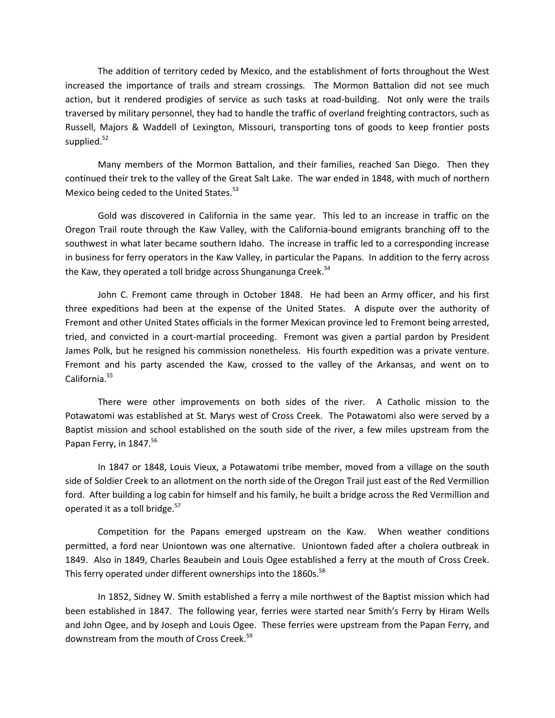The addition of territory ceded by Mexico, and the establishment of forts throughout the West increased the importance of trails and stream crossings. The Mormon Battalion did not see much action, but it rendered prodigies of service as such tasks at road-building. Not only were the trails traversed by military personnel, they had to handle the traffic of overland freighting contractors, such as Russell, Majors & Waddell of Lexington, Missouri, transporting tons of goods to keep frontier posts supplied. $52$ 

Many members of the Mormon Battalion, and their families, reached San Diego. Then they continued their trek to the valley of the Great Salt Lake. The war ended in 1848, with much of northern Mexico being ceded to the United States.<sup>53</sup>

Gold was discovered in California in the same year. This led to an increase in traffic on the Oregon Trail route through the Kaw Valley, with the California-bound emigrants branching off to the southwest in what later became southern Idaho. The increase in traffic led to a corresponding increase in business for ferry operators in the Kaw Valley, in particular the Papans. In addition to the ferry across the Kaw, they operated a toll bridge across Shunganunga Creek.<sup>54</sup>

John C. Fremont came through in October 1848. He had been an Army officer, and his first three expeditions had been at the expense of the United States. A dispute over the authority of Fremont and other United States officials in the former Mexican province led to Fremont being arrested, tried, and convicted in a court-martial proceeding. Fremont was given a partial pardon by President James Polk, but he resigned his commission nonetheless. His fourth expedition was a private venture. Fremont and his party ascended the Kaw, crossed to the valley of the Arkansas, and went on to California.<sup>55</sup>

There were other improvements on both sides of the river. A Catholic mission to the Potawatomi was established at St. Marys west of Cross Creek. The Potawatomi also were served by a Baptist mission and school established on the south side of the river, a few miles upstream from the Papan Ferry, in 1847.<sup>56</sup>

In 1847 or 1848, Louis Vieux, a Potawatomi tribe member, moved from a village on the south side of Soldier Creek to an allotment on the north side of the Oregon Trail just east of the Red Vermillion ford. After building a log cabin for himself and his family, he built a bridge across the Red Vermillion and operated it as a toll bridge.<sup>57</sup>

Competition for the Papans emerged upstream on the Kaw. When weather conditions permitted, a ford near Uniontown was one alternative. Uniontown faded after a cholera outbreak in 1849. Also in 1849, Charles Beaubein and Louis Ogee established a ferry at the mouth of Cross Creek. This ferry operated under different ownerships into the 1860s.<sup>58</sup>

In 1852, Sidney W. Smith established a ferry a mile northwest of the Baptist mission which had been established in 1847. The following year, ferries were started near Smith's Ferry by Hiram Wells and John Ogee, and by Joseph and Louis Ogee. These ferries were upstream from the Papan Ferry, and downstream from the mouth of Cross Creek.<sup>59</sup>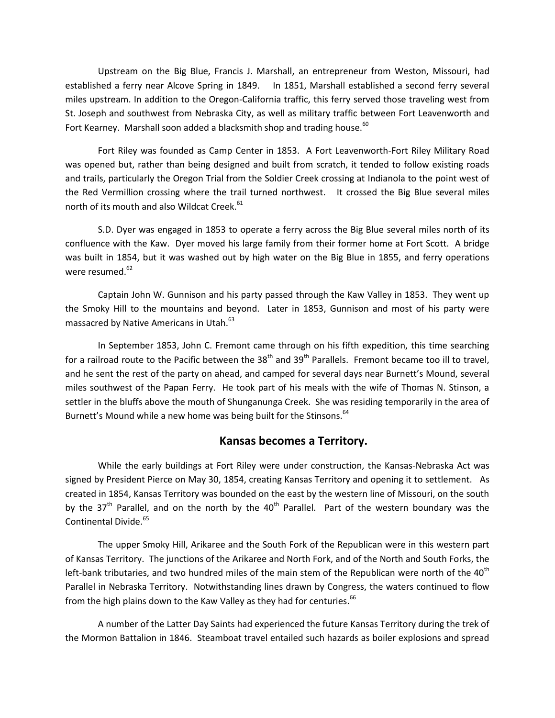Upstream on the Big Blue, Francis J. Marshall, an entrepreneur from Weston, Missouri, had established a ferry near Alcove Spring in 1849. In 1851, Marshall established a second ferry several miles upstream. In addition to the Oregon-California traffic, this ferry served those traveling west from St. Joseph and southwest from Nebraska City, as well as military traffic between Fort Leavenworth and Fort Kearney. Marshall soon added a blacksmith shop and trading house. $60$ 

Fort Riley was founded as Camp Center in 1853. A Fort Leavenworth-Fort Riley Military Road was opened but, rather than being designed and built from scratch, it tended to follow existing roads and trails, particularly the Oregon Trial from the Soldier Creek crossing at Indianola to the point west of the Red Vermillion crossing where the trail turned northwest. It crossed the Big Blue several miles north of its mouth and also Wildcat Creek.<sup>61</sup>

S.D. Dyer was engaged in 1853 to operate a ferry across the Big Blue several miles north of its confluence with the Kaw. Dyer moved his large family from their former home at Fort Scott. A bridge was built in 1854, but it was washed out by high water on the Big Blue in 1855, and ferry operations were resumed. $62$ 

Captain John W. Gunnison and his party passed through the Kaw Valley in 1853. They went up the Smoky Hill to the mountains and beyond. Later in 1853, Gunnison and most of his party were massacred by Native Americans in Utah.<sup>63</sup>

In September 1853, John C. Fremont came through on his fifth expedition, this time searching for a railroad route to the Pacific between the 38<sup>th</sup> and 39<sup>th</sup> Parallels. Fremont became too ill to travel, and he sent the rest of the party on ahead, and camped for several days near Burnett's Mound, several miles southwest of the Papan Ferry. He took part of his meals with the wife of Thomas N. Stinson, a settler in the bluffs above the mouth of Shunganunga Creek. She was residing temporarily in the area of Burnett's Mound while a new home was being built for the Stinsons.<sup>64</sup>

# **Kansas becomes a Territory.**

While the early buildings at Fort Riley were under construction, the Kansas-Nebraska Act was signed by President Pierce on May 30, 1854, creating Kansas Territory and opening it to settlement. As created in 1854, Kansas Territory was bounded on the east by the western line of Missouri, on the south by the 37<sup>th</sup> Parallel, and on the north by the 40<sup>th</sup> Parallel. Part of the western boundary was the Continental Divide.<sup>65</sup>

The upper Smoky Hill, Arikaree and the South Fork of the Republican were in this western part of Kansas Territory. The junctions of the Arikaree and North Fork, and of the North and South Forks, the left-bank tributaries, and two hundred miles of the main stem of the Republican were north of the 40<sup>th</sup> Parallel in Nebraska Territory. Notwithstanding lines drawn by Congress, the waters continued to flow from the high plains down to the Kaw Valley as they had for centuries.<sup>66</sup>

A number of the Latter Day Saints had experienced the future Kansas Territory during the trek of the Mormon Battalion in 1846. Steamboat travel entailed such hazards as boiler explosions and spread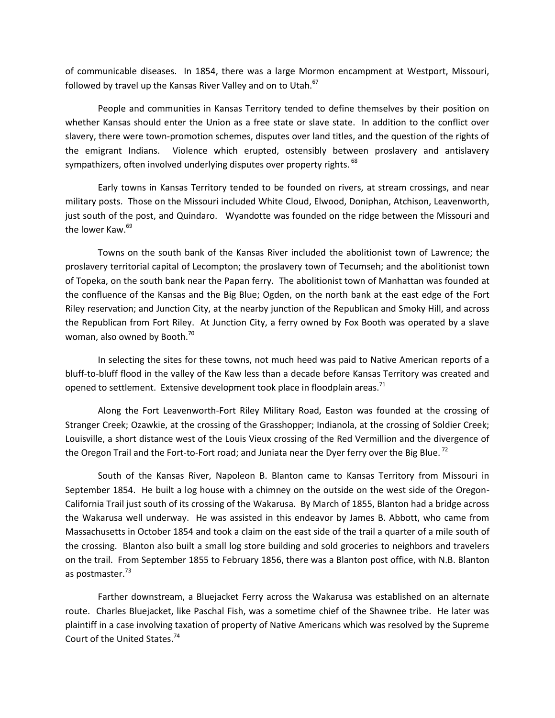of communicable diseases. In 1854, there was a large Mormon encampment at Westport, Missouri, followed by travel up the Kansas River Valley and on to Utah.<sup>67</sup>

People and communities in Kansas Territory tended to define themselves by their position on whether Kansas should enter the Union as a free state or slave state. In addition to the conflict over slavery, there were town-promotion schemes, disputes over land titles, and the question of the rights of the emigrant Indians. Violence which erupted, ostensibly between proslavery and antislavery sympathizers, often involved underlying disputes over property rights. <sup>68</sup>

Early towns in Kansas Territory tended to be founded on rivers, at stream crossings, and near military posts. Those on the Missouri included White Cloud, Elwood, Doniphan, Atchison, Leavenworth, just south of the post, and Quindaro. Wyandotte was founded on the ridge between the Missouri and the lower Kaw.<sup>69</sup>

Towns on the south bank of the Kansas River included the abolitionist town of Lawrence; the proslavery territorial capital of Lecompton; the proslavery town of Tecumseh; and the abolitionist town of Topeka, on the south bank near the Papan ferry. The abolitionist town of Manhattan was founded at the confluence of the Kansas and the Big Blue; Ogden, on the north bank at the east edge of the Fort Riley reservation; and Junction City, at the nearby junction of the Republican and Smoky Hill, and across the Republican from Fort Riley. At Junction City, a ferry owned by Fox Booth was operated by a slave woman, also owned by Booth.<sup>70</sup>

In selecting the sites for these towns, not much heed was paid to Native American reports of a bluff-to-bluff flood in the valley of the Kaw less than a decade before Kansas Territory was created and opened to settlement. Extensive development took place in floodplain areas.<sup>71</sup>

Along the Fort Leavenworth-Fort Riley Military Road, Easton was founded at the crossing of Stranger Creek; Ozawkie, at the crossing of the Grasshopper; Indianola, at the crossing of Soldier Creek; Louisville, a short distance west of the Louis Vieux crossing of the Red Vermillion and the divergence of the Oregon Trail and the Fort-to-Fort road; and Juniata near the Dyer ferry over the Big Blue.<sup>72</sup>

South of the Kansas River, Napoleon B. Blanton came to Kansas Territory from Missouri in September 1854. He built a log house with a chimney on the outside on the west side of the Oregon-California Trail just south of its crossing of the Wakarusa. By March of 1855, Blanton had a bridge across the Wakarusa well underway. He was assisted in this endeavor by James B. Abbott, who came from Massachusetts in October 1854 and took a claim on the east side of the trail a quarter of a mile south of the crossing. Blanton also built a small log store building and sold groceries to neighbors and travelers on the trail. From September 1855 to February 1856, there was a Blanton post office, with N.B. Blanton as postmaster.<sup>73</sup>

Farther downstream, a Bluejacket Ferry across the Wakarusa was established on an alternate route. Charles Bluejacket, like Paschal Fish, was a sometime chief of the Shawnee tribe. He later was plaintiff in a case involving taxation of property of Native Americans which was resolved by the Supreme Court of the United States.<sup>74</sup>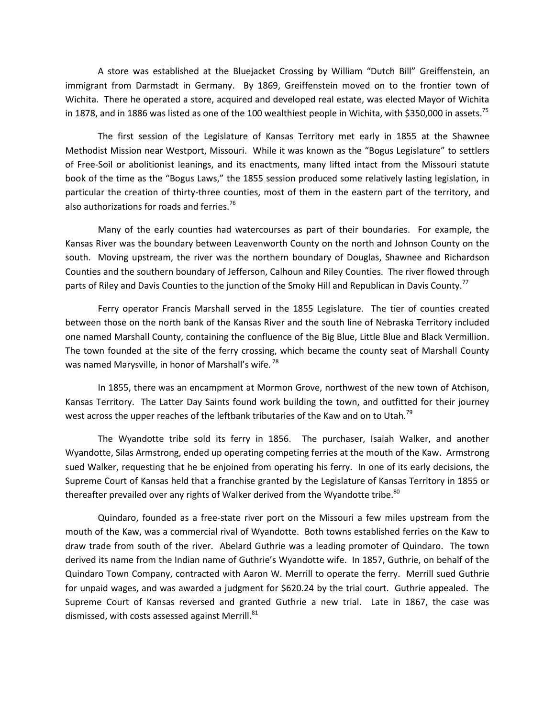A store was established at the Bluejacket Crossing by William "Dutch Bill" Greiffenstein, an immigrant from Darmstadt in Germany. By 1869, Greiffenstein moved on to the frontier town of Wichita. There he operated a store, acquired and developed real estate, was elected Mayor of Wichita in 1878, and in 1886 was listed as one of the 100 wealthiest people in Wichita, with \$350,000 in assets.<sup>75</sup>

The first session of the Legislature of Kansas Territory met early in 1855 at the Shawnee Methodist Mission near Westport, Missouri. While it was known as the "Bogus Legislature" to settlers of Free-Soil or abolitionist leanings, and its enactments, many lifted intact from the Missouri statute book of the time as the "Bogus Laws," the 1855 session produced some relatively lasting legislation, in particular the creation of thirty-three counties, most of them in the eastern part of the territory, and also authorizations for roads and ferries. $76$ 

Many of the early counties had watercourses as part of their boundaries. For example, the Kansas River was the boundary between Leavenworth County on the north and Johnson County on the south. Moving upstream, the river was the northern boundary of Douglas, Shawnee and Richardson Counties and the southern boundary of Jefferson, Calhoun and Riley Counties. The river flowed through parts of Riley and Davis Counties to the junction of the Smoky Hill and Republican in Davis County.<sup>77</sup>

Ferry operator Francis Marshall served in the 1855 Legislature. The tier of counties created between those on the north bank of the Kansas River and the south line of Nebraska Territory included one named Marshall County, containing the confluence of the Big Blue, Little Blue and Black Vermillion. The town founded at the site of the ferry crossing, which became the county seat of Marshall County was named Marysville, in honor of Marshall's wife.<sup>78</sup>

In 1855, there was an encampment at Mormon Grove, northwest of the new town of Atchison, Kansas Territory. The Latter Day Saints found work building the town, and outfitted for their journey west across the upper reaches of the leftbank tributaries of the Kaw and on to Utah.<sup>79</sup>

The Wyandotte tribe sold its ferry in 1856. The purchaser, Isaiah Walker, and another Wyandotte, Silas Armstrong, ended up operating competing ferries at the mouth of the Kaw. Armstrong sued Walker, requesting that he be enjoined from operating his ferry. In one of its early decisions, the Supreme Court of Kansas held that a franchise granted by the Legislature of Kansas Territory in 1855 or thereafter prevailed over any rights of Walker derived from the Wyandotte tribe. $80^\circ$ 

Quindaro, founded as a free-state river port on the Missouri a few miles upstream from the mouth of the Kaw, was a commercial rival of Wyandotte. Both towns established ferries on the Kaw to draw trade from south of the river. Abelard Guthrie was a leading promoter of Quindaro. The town derived its name from the Indian name of Guthrie's Wyandotte wife. In 1857, Guthrie, on behalf of the Quindaro Town Company, contracted with Aaron W. Merrill to operate the ferry. Merrill sued Guthrie for unpaid wages, and was awarded a judgment for \$620.24 by the trial court. Guthrie appealed. The Supreme Court of Kansas reversed and granted Guthrie a new trial. Late in 1867, the case was dismissed, with costs assessed against Merrill.<sup>81</sup>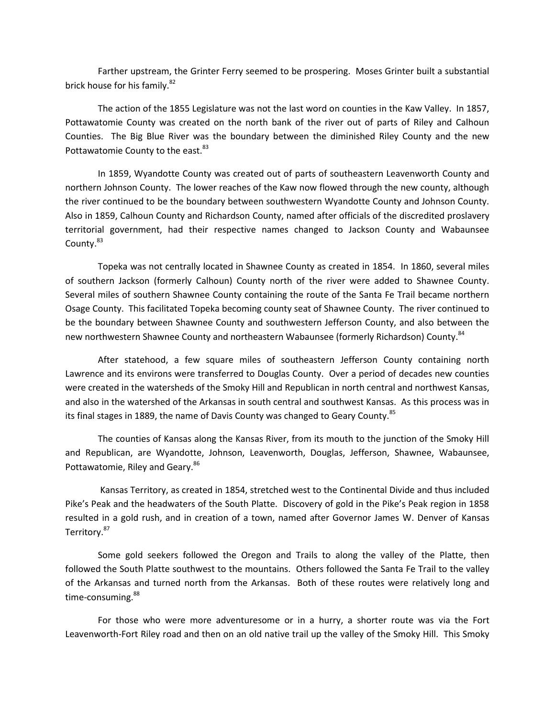Farther upstream, the Grinter Ferry seemed to be prospering. Moses Grinter built a substantial brick house for his family.<sup>82</sup>

The action of the 1855 Legislature was not the last word on counties in the Kaw Valley. In 1857, Pottawatomie County was created on the north bank of the river out of parts of Riley and Calhoun Counties. The Big Blue River was the boundary between the diminished Riley County and the new Pottawatomie County to the east.<sup>83</sup>

In 1859, Wyandotte County was created out of parts of southeastern Leavenworth County and northern Johnson County. The lower reaches of the Kaw now flowed through the new county, although the river continued to be the boundary between southwestern Wyandotte County and Johnson County. Also in 1859, Calhoun County and Richardson County, named after officials of the discredited proslavery territorial government, had their respective names changed to Jackson County and Wabaunsee County.<sup>83</sup>

Topeka was not centrally located in Shawnee County as created in 1854. In 1860, several miles of southern Jackson (formerly Calhoun) County north of the river were added to Shawnee County. Several miles of southern Shawnee County containing the route of the Santa Fe Trail became northern Osage County. This facilitated Topeka becoming county seat of Shawnee County. The river continued to be the boundary between Shawnee County and southwestern Jefferson County, and also between the new northwestern Shawnee County and northeastern Wabaunsee (formerly Richardson) County.<sup>84</sup>

After statehood, a few square miles of southeastern Jefferson County containing north Lawrence and its environs were transferred to Douglas County. Over a period of decades new counties were created in the watersheds of the Smoky Hill and Republican in north central and northwest Kansas, and also in the watershed of the Arkansas in south central and southwest Kansas. As this process was in its final stages in 1889, the name of Davis County was changed to Geary County.<sup>85</sup>

The counties of Kansas along the Kansas River, from its mouth to the junction of the Smoky Hill and Republican, are Wyandotte, Johnson, Leavenworth, Douglas, Jefferson, Shawnee, Wabaunsee, Pottawatomie, Riley and Geary.<sup>86</sup>

Kansas Territory, as created in 1854, stretched west to the Continental Divide and thus included Pike's Peak and the headwaters of the South Platte. Discovery of gold in the Pike's Peak region in 1858 resulted in a gold rush, and in creation of a town, named after Governor James W. Denver of Kansas Territory.<sup>87</sup>

Some gold seekers followed the Oregon and Trails to along the valley of the Platte, then followed the South Platte southwest to the mountains. Others followed the Santa Fe Trail to the valley of the Arkansas and turned north from the Arkansas. Both of these routes were relatively long and time-consuming.<sup>88</sup>

For those who were more adventuresome or in a hurry, a shorter route was via the Fort Leavenworth-Fort Riley road and then on an old native trail up the valley of the Smoky Hill. This Smoky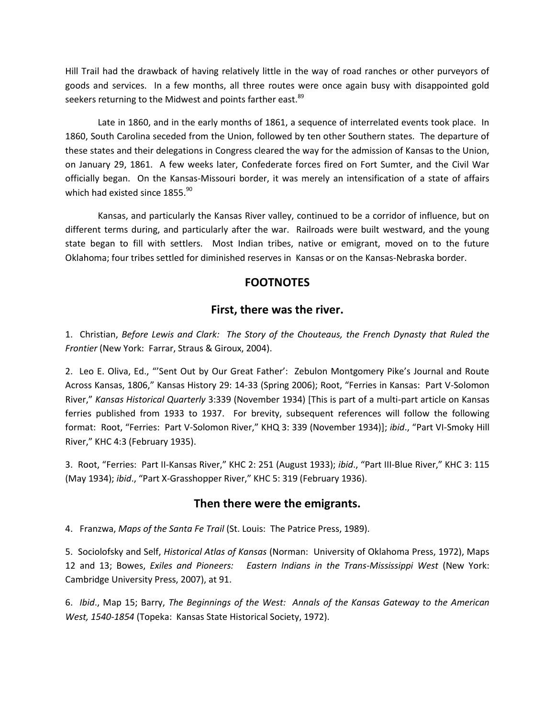Hill Trail had the drawback of having relatively little in the way of road ranches or other purveyors of goods and services. In a few months, all three routes were once again busy with disappointed gold seekers returning to the Midwest and points farther east.<sup>89</sup>

Late in 1860, and in the early months of 1861, a sequence of interrelated events took place. In 1860, South Carolina seceded from the Union, followed by ten other Southern states. The departure of these states and their delegations in Congress cleared the way for the admission of Kansas to the Union, on January 29, 1861. A few weeks later, Confederate forces fired on Fort Sumter, and the Civil War officially began. On the Kansas-Missouri border, it was merely an intensification of a state of affairs which had existed since 1855.<sup>90</sup>

Kansas, and particularly the Kansas River valley, continued to be a corridor of influence, but on different terms during, and particularly after the war. Railroads were built westward, and the young state began to fill with settlers. Most Indian tribes, native or emigrant, moved on to the future Oklahoma; four tribes settled for diminished reserves in Kansas or on the Kansas-Nebraska border.

# **FOOTNOTES**

# **First, there was the river.**

1. Christian, *Before Lewis and Clark: The Story of the Chouteaus, the French Dynasty that Ruled the Frontier* (New York: Farrar, Straus & Giroux, 2004).

2. Leo E. Oliva, Ed., "'Sent Out by Our Great Father': Zebulon Montgomery Pike's Journal and Route Across Kansas, 1806," Kansas History 29: 14-33 (Spring 2006); Root, "Ferries in Kansas: Part V-Solomon River," *Kansas Historical Quarterly* 3:339 (November 1934) [This is part of a multi-part article on Kansas ferries published from 1933 to 1937. For brevity, subsequent references will follow the following format: Root, "Ferries: Part V-Solomon River," KHQ 3: 339 (November 1934)]; *ibid*., "Part VI-Smoky Hill River," KHC 4:3 (February 1935).

3. Root, "Ferries: Part II-Kansas River," KHC 2: 251 (August 1933); *ibid*., "Part III-Blue River," KHC 3: 115 (May 1934); *ibid*., "Part X-Grasshopper River," KHC 5: 319 (February 1936).

# **Then there were the emigrants.**

4. Franzwa, *Maps of the Santa Fe Trail* (St. Louis: The Patrice Press, 1989).

5. Sociolofsky and Self, *Historical Atlas of Kansas* (Norman: University of Oklahoma Press, 1972), Maps 12 and 13; Bowes, *Exiles and Pioneers: Eastern Indians in the Trans-Mississippi West* (New York: Cambridge University Press, 2007), at 91.

6. *Ibid*., Map 15; Barry, *The Beginnings of the West: Annals of the Kansas Gateway to the American West, 1540-1854* (Topeka: Kansas State Historical Society, 1972).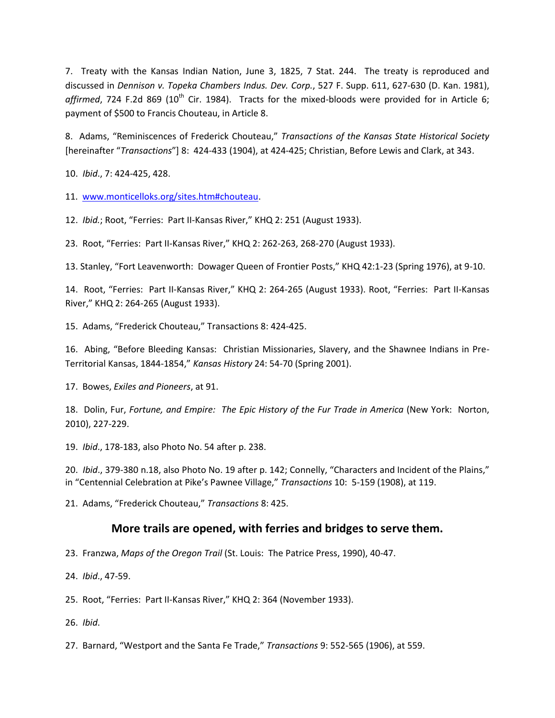7. Treaty with the Kansas Indian Nation, June 3, 1825, 7 Stat. 244. The treaty is reproduced and discussed in *Dennison v. Topeka Chambers Indus. Dev. Corp.*, 527 F. Supp. 611, 627-630 (D. Kan. 1981),  $affirmed$ , 724 F.2d 869 (10<sup>th</sup> Cir. 1984). Tracts for the mixed-bloods were provided for in Article 6; payment of \$500 to Francis Chouteau, in Article 8.

8. Adams, "Reminiscences of Frederick Chouteau," *Transactions of the Kansas State Historical Society* [hereinafter "*Transactions*"] 8: 424-433 (1904), at 424-425; Christian, Before Lewis and Clark, at 343.

10. *Ibid*., 7: 424-425, 428.

11. [www.monticelloks.org/sites.htm#chouteau.](http://www.monticelloks.org/sites.htm#chouteau)

12. *Ibid.*; Root, "Ferries: Part II-Kansas River," KHQ 2: 251 (August 1933).

23. Root, "Ferries: Part II-Kansas River," KHQ 2: 262-263, 268-270 (August 1933).

13. Stanley, "Fort Leavenworth: Dowager Queen of Frontier Posts," KHQ 42:1-23 (Spring 1976), at 9-10.

14. Root, "Ferries: Part II-Kansas River," KHQ 2: 264-265 (August 1933). Root, "Ferries: Part II-Kansas River," KHQ 2: 264-265 (August 1933).

15. Adams, "Frederick Chouteau," Transactions 8: 424-425.

16. Abing, "Before Bleeding Kansas: Christian Missionaries, Slavery, and the Shawnee Indians in Pre-Territorial Kansas, 1844-1854," *Kansas History* 24: 54-70 (Spring 2001).

17. Bowes, *Exiles and Pioneers*, at 91.

18. Dolin, Fur, *Fortune, and Empire: The Epic History of the Fur Trade in America* (New York: Norton, 2010), 227-229.

19. *Ibid*., 178-183, also Photo No. 54 after p. 238.

20. *Ibid*., 379-380 n.18, also Photo No. 19 after p. 142; Connelly, "Characters and Incident of the Plains," in "Centennial Celebration at Pike's Pawnee Village," *Transactions* 10: 5-159 (1908), at 119.

21. Adams, "Frederick Chouteau," *Transactions* 8: 425.

# **More trails are opened, with ferries and bridges to serve them.**

23. Franzwa, *Maps of the Oregon Trail* (St. Louis: The Patrice Press, 1990), 40-47.

24. *Ibid*., 47-59.

25. Root, "Ferries: Part II-Kansas River," KHQ 2: 364 (November 1933).

26. *Ibid*.

27. Barnard, "Westport and the Santa Fe Trade," *Transactions* 9: 552-565 (1906), at 559.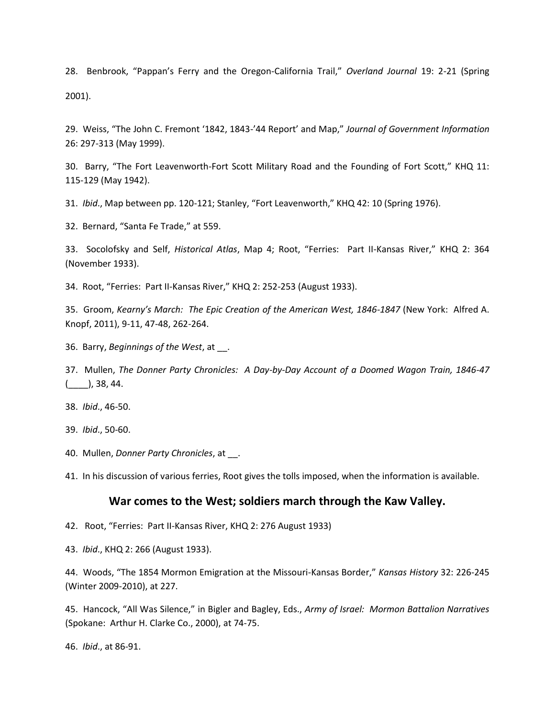28. Benbrook, "Pappan's Ferry and the Oregon-California Trail," *Overland Journal* 19: 2-21 (Spring 2001).

29. Weiss, "The John C. Fremont '1842, 1843-'44 Report' and Map," *Journal of Government Information* 26: 297-313 (May 1999).

30. Barry, "The Fort Leavenworth-Fort Scott Military Road and the Founding of Fort Scott," KHQ 11: 115-129 (May 1942).

31. *Ibid*., Map between pp. 120-121; Stanley, "Fort Leavenworth," KHQ 42: 10 (Spring 1976).

32. Bernard, "Santa Fe Trade," at 559.

33. Socolofsky and Self, *Historical Atlas*, Map 4; Root, "Ferries: Part II-Kansas River," KHQ 2: 364 (November 1933).

34. Root, "Ferries: Part II-Kansas River," KHQ 2: 252-253 (August 1933).

35. Groom, *Kearny's March: The Epic Creation of the American West, 1846-1847* (New York: Alfred A. Knopf, 2011), 9-11, 47-48, 262-264.

36. Barry, *Beginnings of the West*, at \_\_.

37. Mullen, *The Donner Party Chronicles: A Day-by-Day Account of a Doomed Wagon Train, 1846-47*  $($ , 38, 44.

38. *Ibid*., 46-50.

39. *Ibid*., 50-60.

40. Mullen, *Donner Party Chronicles*, at \_\_.

41. In his discussion of various ferries, Root gives the tolls imposed, when the information is available.

#### **War comes to the West; soldiers march through the Kaw Valley.**

42. Root, "Ferries: Part II-Kansas River, KHQ 2: 276 August 1933)

43. *Ibid*., KHQ 2: 266 (August 1933).

44. Woods, "The 1854 Mormon Emigration at the Missouri-Kansas Border," *Kansas History* 32: 226-245 (Winter 2009-2010), at 227.

45. Hancock, "All Was Silence," in Bigler and Bagley, Eds., *Army of Israel: Mormon Battalion Narratives* (Spokane: Arthur H. Clarke Co., 2000), at 74-75.

46. *Ibid*., at 86-91.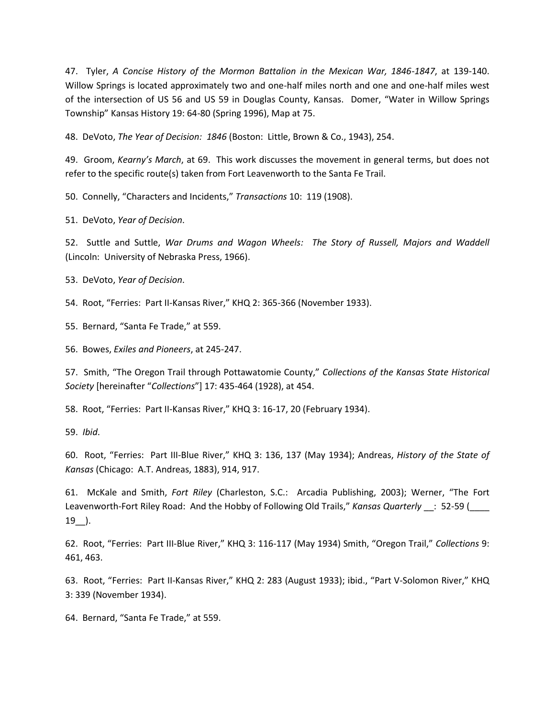47. Tyler, *A Concise History of the Mormon Battalion in the Mexican War, 1846-1847*, at 139-140. Willow Springs is located approximately two and one-half miles north and one and one-half miles west of the intersection of US 56 and US 59 in Douglas County, Kansas. Domer, "Water in Willow Springs Township" Kansas History 19: 64-80 (Spring 1996), Map at 75.

48. DeVoto, *The Year of Decision: 1846* (Boston: Little, Brown & Co., 1943), 254.

49. Groom, *Kearny's March*, at 69. This work discusses the movement in general terms, but does not refer to the specific route(s) taken from Fort Leavenworth to the Santa Fe Trail.

50. Connelly, "Characters and Incidents," *Transactions* 10: 119 (1908).

51. DeVoto, *Year of Decision*.

52. Suttle and Suttle, *War Drums and Wagon Wheels: The Story of Russell, Majors and Waddell* (Lincoln: University of Nebraska Press, 1966).

53. DeVoto, *Year of Decision*.

54. Root, "Ferries: Part II-Kansas River," KHQ 2: 365-366 (November 1933).

55. Bernard, "Santa Fe Trade," at 559.

56. Bowes, *Exiles and Pioneers*, at 245-247.

57. Smith, "The Oregon Trail through Pottawatomie County," *Collections of the Kansas State Historical Society* [hereinafter "*Collections*"] 17: 435-464 (1928), at 454.

58. Root, "Ferries: Part II-Kansas River," KHQ 3: 16-17, 20 (February 1934).

59. *Ibid*.

60. Root, "Ferries: Part III-Blue River," KHQ 3: 136, 137 (May 1934); Andreas, *History of the State of Kansas* (Chicago: A.T. Andreas, 1883), 914, 917.

61. McKale and Smith, *Fort Riley* (Charleston, S.C.: Arcadia Publishing, 2003); Werner, "The Fort Leavenworth-Fort Riley Road: And the Hobby of Following Old Trails," *Kansas Quarterly* \_\_: 52-59 (\_\_\_\_  $19$ .

62. Root, "Ferries: Part III-Blue River," KHQ 3: 116-117 (May 1934) Smith, "Oregon Trail," *Collections* 9: 461, 463.

63. Root, "Ferries: Part II-Kansas River," KHQ 2: 283 (August 1933); ibid., "Part V-Solomon River," KHQ 3: 339 (November 1934).

64. Bernard, "Santa Fe Trade," at 559.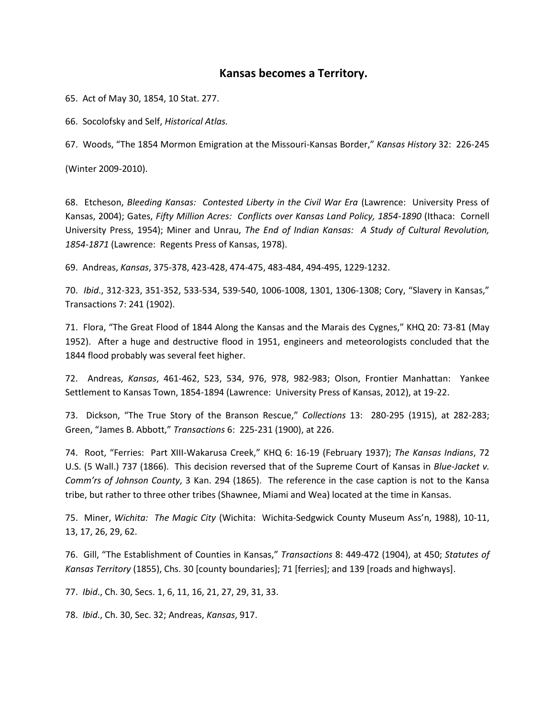### **Kansas becomes a Territory.**

65. Act of May 30, 1854, 10 Stat. 277.

66. Socolofsky and Self, *Historical Atlas.*

67. Woods, "The 1854 Mormon Emigration at the Missouri-Kansas Border," *Kansas History* 32: 226-245

(Winter 2009-2010).

68. Etcheson, *Bleeding Kansas: Contested Liberty in the Civil War Era* (Lawrence: University Press of Kansas, 2004); Gates, *Fifty Million Acres: Conflicts over Kansas Land Policy, 1854-1890* (Ithaca: Cornell University Press, 1954); Miner and Unrau, *The End of Indian Kansas: A Study of Cultural Revolution, 1854-1871* (Lawrence: Regents Press of Kansas, 1978).

69. Andreas, *Kansas*, 375-378, 423-428, 474-475, 483-484, 494-495, 1229-1232.

70. *Ibid*., 312-323, 351-352, 533-534, 539-540, 1006-1008, 1301, 1306-1308; Cory, "Slavery in Kansas," Transactions 7: 241 (1902).

71. Flora, "The Great Flood of 1844 Along the Kansas and the Marais des Cygnes," KHQ 20: 73-81 (May 1952). After a huge and destructive flood in 1951, engineers and meteorologists concluded that the 1844 flood probably was several feet higher.

72. Andreas, *Kansas*, 461-462, 523, 534, 976, 978, 982-983; Olson, Frontier Manhattan: Yankee Settlement to Kansas Town, 1854-1894 (Lawrence: University Press of Kansas, 2012), at 19-22.

73. Dickson, "The True Story of the Branson Rescue," *Collections* 13: 280-295 (1915), at 282-283; Green, "James B. Abbott," *Transactions* 6: 225-231 (1900), at 226.

74. Root, "Ferries: Part XIII-Wakarusa Creek," KHQ 6: 16-19 (February 1937); *The Kansas Indians*, 72 U.S. (5 Wall.) 737 (1866). This decision reversed that of the Supreme Court of Kansas in *Blue-Jacket v. Comm'rs of Johnson County*, 3 Kan. 294 (1865). The reference in the case caption is not to the Kansa tribe, but rather to three other tribes (Shawnee, Miami and Wea) located at the time in Kansas.

75. Miner, *Wichita: The Magic City* (Wichita: Wichita-Sedgwick County Museum Ass'n, 1988), 10-11, 13, 17, 26, 29, 62.

76. Gill, "The Establishment of Counties in Kansas," *Transactions* 8: 449-472 (1904), at 450; *Statutes of Kansas Territory* (1855), Chs. 30 [county boundaries]; 71 [ferries]; and 139 [roads and highways].

77. *Ibid*., Ch. 30, Secs. 1, 6, 11, 16, 21, 27, 29, 31, 33.

78. *Ibid*., Ch. 30, Sec. 32; Andreas, *Kansas*, 917.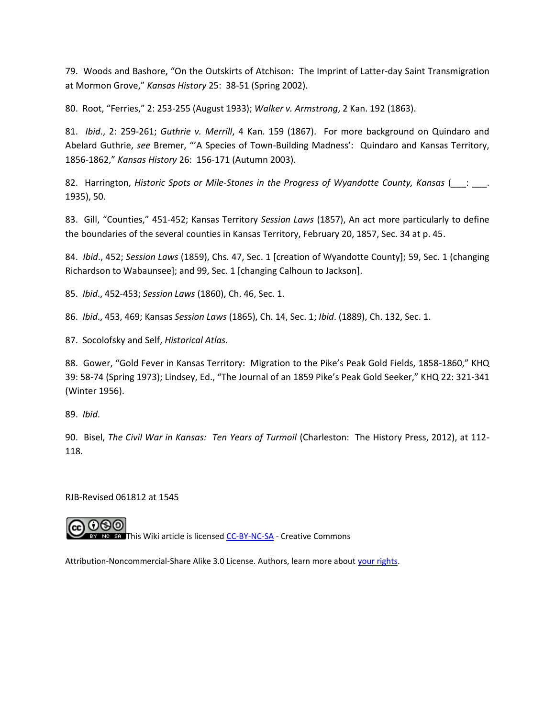79. Woods and Bashore, "On the Outskirts of Atchison: The Imprint of Latter-day Saint Transmigration at Mormon Grove," *Kansas History* 25: 38-51 (Spring 2002).

80. Root, "Ferries," 2: 253-255 (August 1933); *Walker v. Armstrong*, 2 Kan. 192 (1863).

81. *Ibid*., 2: 259-261; *Guthrie v. Merrill*, 4 Kan. 159 (1867). For more background on Quindaro and Abelard Guthrie, *see* Bremer, "'A Species of Town-Building Madness': Quindaro and Kansas Territory, 1856-1862," *Kansas History* 26: 156-171 (Autumn 2003).

82. Harrington, *Historic Spots or Mile-Stones in the Progress of Wyandotte County, Kansas* ( $\qquad \qquad$ : 1935), 50.

83. Gill, "Counties," 451-452; Kansas Territory *Session Laws* (1857), An act more particularly to define the boundaries of the several counties in Kansas Territory, February 20, 1857, Sec. 34 at p. 45.

84. *Ibid*., 452; *Session Laws* (1859), Chs. 47, Sec. 1 [creation of Wyandotte County]; 59, Sec. 1 (changing Richardson to Wabaunsee]; and 99, Sec. 1 [changing Calhoun to Jackson].

85. *Ibid*., 452-453; *Session Laws* (1860), Ch. 46, Sec. 1.

86. *Ibid*., 453, 469; Kansas *Session Laws* (1865), Ch. 14, Sec. 1; *Ibid*. (1889), Ch. 132, Sec. 1.

87. Socolofsky and Self, *Historical Atlas*.

88. Gower, "Gold Fever in Kansas Territory: Migration to the Pike's Peak Gold Fields, 1858-1860," KHQ 39: 58-74 (Spring 1973); Lindsey, Ed., "The Journal of an 1859 Pike's Peak Gold Seeker," KHQ 22: 321-341 (Winter 1956).

89. *Ibid*.

90. Bisel, *The Civil War in Kansas: Ten Years of Turmoil* (Charleston: The History Press, 2012), at 112- 118.

RJB-Revised 061812 at 1545



**THE SA This Wiki article is licensed [CC-BY-NC-SA](http://creativecommons.org/licenses/by-nc-sa/3.0/ca/) - Creative Commons** 

Attribution-Noncommercial-Share Alike 3.0 License. Authors, learn more about [your rights.](http://www.socialtext.net/wikinomics/index.cgi?cc_by_nc_sa)